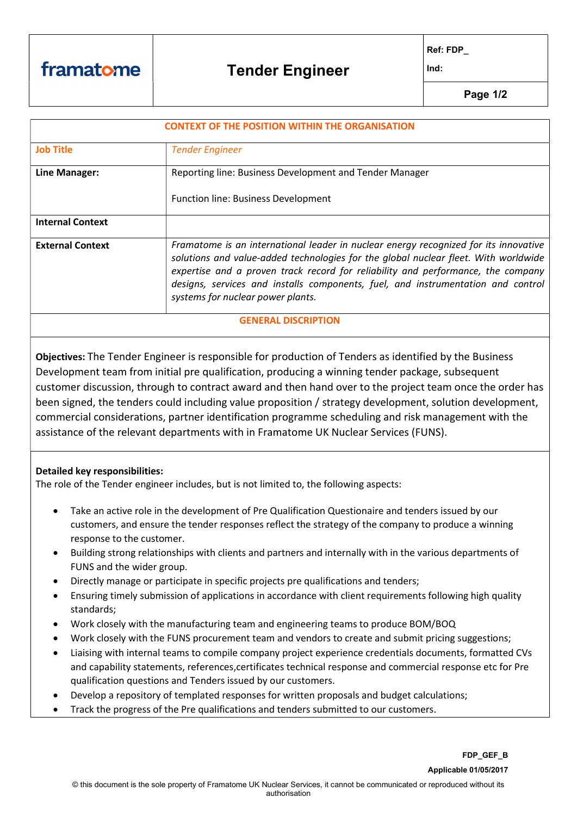Ref: FDP\_

Ind:

Page 1/2

| <b>CONTEXT OF THE POSITION WITHIN THE ORGANISATION</b> |                                                                                      |  |
|--------------------------------------------------------|--------------------------------------------------------------------------------------|--|
|                                                        |                                                                                      |  |
| <b>Job Title</b>                                       | <b>Tender Engineer</b>                                                               |  |
|                                                        |                                                                                      |  |
| Line Manager:                                          | Reporting line: Business Development and Tender Manager                              |  |
|                                                        |                                                                                      |  |
|                                                        | <b>Function line: Business Development</b>                                           |  |
|                                                        |                                                                                      |  |
| <b>Internal Context</b>                                |                                                                                      |  |
|                                                        |                                                                                      |  |
| <b>External Context</b>                                | Framatome is an international leader in nuclear energy recognized for its innovative |  |
|                                                        | solutions and value-added technologies for the global nuclear fleet. With worldwide  |  |
|                                                        | expertise and a proven track record for reliability and performance, the company     |  |
|                                                        | designs, services and installs components, fuel, and instrumentation and control     |  |
|                                                        | systems for nuclear power plants.                                                    |  |
|                                                        |                                                                                      |  |
| <b>GENERAL DISCRIPTION</b>                             |                                                                                      |  |
|                                                        |                                                                                      |  |

Objectives: The Tender Engineer is responsible for production of Tenders as identified by the Business Development team from initial pre qualification, producing a winning tender package, subsequent customer discussion, through to contract award and then hand over to the project team once the order has been signed, the tenders could including value proposition / strategy development, solution development, commercial considerations, partner identification programme scheduling and risk management with the assistance of the relevant departments with in Framatome UK Nuclear Services (FUNS).

## Detailed key responsibilities:

The role of the Tender engineer includes, but is not limited to, the following aspects:

- Take an active role in the development of Pre Qualification Questionaire and tenders issued by our customers, and ensure the tender responses reflect the strategy of the company to produce a winning response to the customer.
- Building strong relationships with clients and partners and internally with in the various departments of FUNS and the wider group.
- Directly manage or participate in specific projects pre qualifications and tenders;
- Ensuring timely submission of applications in accordance with client requirements following high quality standards;
- Work closely with the manufacturing team and engineering teams to produce BOM/BOQ
- Work closely with the FUNS procurement team and vendors to create and submit pricing suggestions;
- Liaising with internal teams to compile company project experience credentials documents, formatted CVs and capability statements, references,certificates technical response and commercial response etc for Pre qualification questions and Tenders issued by our customers.
- Develop a repository of templated responses for written proposals and budget calculations;
- Track the progress of the Pre qualifications and tenders submitted to our customers.